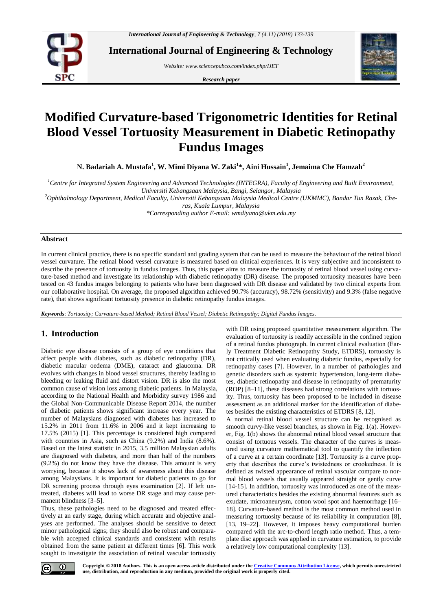

**International Journal of Engineering & Technology**

*Website: [www.sciencepubco.com/index.php/IJET](http://www.sciencepubco.com/index.php/IJET)*

*Research paper*



# **Modified Curvature-based Trigonometric Identities for Retinal Blood Vessel Tortuosity Measurement in Diabetic Retinopathy Fundus Images**

**N. Badariah A. Mustafa<sup>1</sup> , W. Mimi Diyana W. Zaki<sup>1</sup> \*, Aini Hussain<sup>1</sup> , Jemaima Che Hamzah<sup>2</sup>**

*<sup>1</sup>Centre for Integrated System Engineering and Advanced Technologies (INTEGRA), Faculty of Engineering and Built Environment, Universiti Kebangsaan Malaysia, Bangi, Selangor, Malaysia* 

*<sup>2</sup>Ophthalmology Department, Medical Faculty, Universiti Kebangsaan Malaysia Medical Centre (UKMMC), Bandar Tun Razak, Cheras, Kuala Lumpur, Malaysia*

*\*Corresponding author E-mail: wmdiyana@ukm.edu.my*

#### **Abstract**

In current clinical practice, there is no specific standard and grading system that can be used to measure the behaviour of the retinal blood vessel curvature. The retinal blood vessel curvature is measured based on clinical experiences. It is very subjective and inconsistent to describe the presence of tortuosity in fundus images. Thus, this paper aims to measure the tortuosity of retinal blood vessel using curvature-based method and investigate its relationship with diabetic retinopathy (DR) disease. The proposed tortuosity measures have been tested on 43 fundus images belonging to patients who have been diagnosed with DR disease and validated by two clinical experts from our collaborative hospital. On average, the proposed algorithm achieved 90.7% (accuracy), 98.72% (sensitivity) and 9.3% (false negative rate), that shows significant tortuosity presence in diabetic retinopathy fundus images.

*Keywords*: *Tortuosity; Curvature-based Method; Retinal Blood Vessel; Diabetic Retinopathy; Digital Fundus Images.*

# **1. Introduction**

Diabetic eye disease consists of a group of eye conditions that affect people with diabetes, such as diabetic retinopathy (DR), diabetic macular oedema (DME), cataract and glaucoma. DR evolves with changes in blood vessel structures, thereby leading to bleeding or leaking fluid and distort vision. DR is also the most common cause of vision loss among diabetic patients. In Malaysia, according to the National Health and Morbidity survey 1986 and the Global Non-Communicable Disease Report 2014, the number of diabetic patients shows significant increase every year. The number of Malaysians diagnosed with diabetes has increased to 15.2% in 2011 from 11.6% in 2006 and it kept increasing to 17.5% (2015) [1]. This percentage is considered high compared with countries in Asia, such as China (9.2%) and India (8.6%). Based on the latest statistic in 2015, 3.5 million Malaysian adults are diagnosed with diabetes, and more than half of the numbers (9.2%) do not know they have the disease. This amount is very worrying, because it shows lack of awareness about this disease among Malaysians. It is important for diabetic patients to go for DR screening process through eyes examination [2]. If left untreated, diabetes will lead to worse DR stage and may cause permanent blindness [3–5].

Thus, these pathologies need to be diagnosed and treated effectively at an early stage, during which accurate and objective analyses are performed. The analyses should be sensitive to detect minor pathological signs; they should also be robust and comparable with accepted clinical standards and consistent with results obtained from the same patient at different times [6]. This work sought to investigate the association of retinal vascular tortuosity with DR using proposed quantitative measurement algorithm. The evaluation of tortuosity is readily accessible in the confined region of a retinal fundus photograph. In current clinical evaluation (Early Treatment Diabetic Retinopathy Study, ETDRS), tortuosity is not critically used when evaluating diabetic fundus, especially for retinopathy cases [7]. However, in a number of pathologies and genetic disorders such as systemic hypertension, long-term diabetes, diabetic retinopathy and disease in retinopathy of prematurity (ROP) [8–11], these diseases had strong correlations with tortuosity. Thus, tortuosity has been proposed to be included in disease assessment as an additional marker for the identification of diabetes besides the existing characteristics of ETDRS [8, 12].

A normal retinal blood vessel structure can be recognised as smooth curvy-like vessel branches, as shown in Fig. 1(a). However, Fig. 1(b) shows the abnormal retinal blood vessel structure that consist of tortuous vessels. The character of the curves is measured using curvature mathematical tool to quantify the inflection of a curve at a certain coordinate [13]. Tortuosity is a curve property that describes the curve's twistedness or crookedness. It is defined as twisted appearance of retinal vascular compare to normal blood vessels that usually appeared straight or gently curve [14-15]. In addition, tortuosity was introduced as one of the measured characteristics besides the existing abnormal features such as exudate, microaneurysm, cotton wool spot and haemorrhage [16– 18]. Curvature-based method is the most common method used in measuring tortuosity because of its reliability in computation [8], [13, 19–22]. However, it imposes heavy computational burden compared with the arc-to-chord length ratio method. Thus, a template disc approach was applied in curvature estimation, to provide a relatively low computational complexity [13].

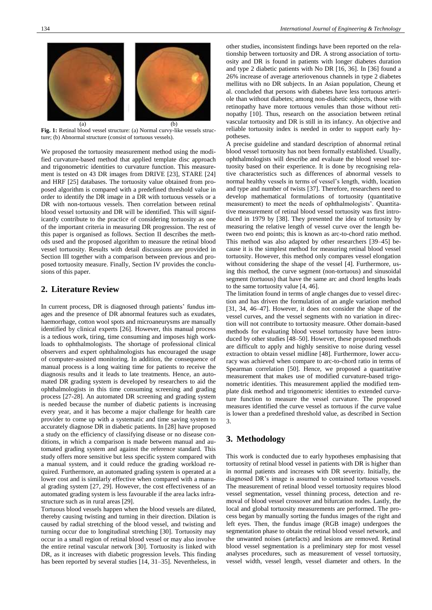

**Fig. 1:** Retinal blood vessel structure: (a) Normal curvy-like vessels structure; (b) Abnormal structure (consist of tortuous vessels).

We proposed the tortuosity measurement method using the modified curvature-based method that applied template disc approach and trigonometric identities to curvature function. This measurement is tested on 43 DR images from DRIVE [23], STARE [24] and HRF [25] databases. The tortuosity value obtained from proposed algorithm is compared with a predefined threshold value in order to identify the DR image in a DR with tortuous vessels or a DR with non-tortuous vessels. Then correlation between retinal blood vessel tortuosity and DR will be identified. This will significantly contribute to the practice of considering tortuosity as one of the important criteria in measuring DR progression. The rest of this paper is organised as follows. Section II describes the methods used and the proposed algorithm to measure the retinal blood vessel tortuosity. Results with detail discussions are provided in Section III together with a comparison between previous and proposed tortuosity measure. Finally, Section IV provides the conclusions of this paper.

## **2. Literature Review**

In current process, DR is diagnosed through patients' fundus images and the presence of DR abnormal features such as exudates, haemorrhage, cotton wool spots and microaneurysms are manually identified by clinical experts [26]. However, this manual process is a tedious work, tiring, time consuming and imposes high workloads to ophthalmologists. The shortage of professional clinical observers and expert ophthalmologists has encouraged the usage of computer-assisted monitoring. In addition, the consequence of manual process is a long waiting time for patients to receive the diagnosis results and it leads to late treatments. Hence, an automated DR grading system is developed by researchers to aid the ophthalmologists in this time consuming screening and grading process [27-28]. An automated DR screening and grading system is needed because the number of diabetic patients is increasing every year, and it has become a major challenge for health care provider to come up with a systematic and time saving system to accurately diagnose DR in diabetic patients. In [28] have proposed a study on the efficiency of classifying disease or no disease conditions, in which a comparison is made between manual and automated grading system and against the reference standard. This study offers more sensitive but less specific system compared with a manual system, and it could reduce the grading workload required. Furthermore, an automated grading system is operated at a lower cost and is similarly effective when compared with a manual grading system [27, 29]. However, the cost effectiveness of an automated grading system is less favourable if the area lacks infrastructure such as in rural areas [29].

Tortuous blood vessels happen when the blood vessels are dilated, thereby causing twisting and turning in their direction. Dilation is caused by radial stretching of the blood vessel, and twisting and turning occur due to longitudinal stretching [30]. Tortuosity may occur in a small region of retinal blood vessel or may also involve the entire retinal vascular network [30]. Tortuosity is linked with DR, as it increases with diabetic progression levels. This finding has been reported by several studies [14, 31–35]. Nevertheless, in other studies, inconsistent findings have been reported on the relationship between tortuosity and DR. A strong association of tortuosity and DR is found in patients with longer diabetes duration and type 2 diabetic patients with No DR [16, 36]. In [36] found a 26% increase of average arteriovenous channels in type 2 diabetes mellitus with no DR subjects. In an Asian population, Cheung et al. concluded that persons with diabetes have less tortuous arteriole than without diabetes; among non-diabetic subjects, those with retinopathy have more tortuous venules than those without retinopathy [10]. Thus, research on the association between retinal vascular tortuosity and DR is still in its infancy. An objective and reliable tortuosity index is needed in order to support early hypotheses.

A precise guideline and standard description of abnormal retinal blood vessel tortuosity has not been formally established. Usually, ophthalmologists will describe and evaluate the blood vessel tortuosity based on their experience. It is done by recognising relative characteristics such as differences of abnormal vessels to normal healthy vessels in terms of vessel's length, width, location and type and number of twists [37]. Therefore, researchers need to develop mathematical formulations of tortuosity (quantitative measurement) to meet the needs of ophthalmologists'. Quantitative measurement of retinal blood vessel tortuosity was first introduced in 1979 by [38]. They presented the idea of tortuosity by measuring the relative length of vessel curve over the length between two end points; this is known as arc-to-chord ratio method. This method was also adapted by other researchers [39–45] because it is the simplest method for measuring retinal blood vessel tortuosity. However, this method only compares vessel elongation without considering the shape of the vessel [4]. Furthermore, using this method, the curve segment (non-tortuous) and sinusoidal segment (tortuous) that have the same arc and chord lengths leads to the same tortuosity value [4, 46].

The limitation found in terms of angle changes due to vessel direction and has driven the formulation of an angle variation method [31, 34, 46–47]. However, it does not consider the shape of the vessel curves, and the vessel segments with no variation in direction will not contribute to tortuosity measure. Other domain-based methods for evaluating blood vessel tortuosity have been introduced by other studies [48–50]. However, these proposed methods are difficult to apply and highly sensitive to noise during vessel extraction to obtain vessel midline [48]. Furthermore, lower accuracy was achieved when compare to arc-to-chord ratio in terms of Spearman correlation [50]. Hence, we proposed a quantitative measurement that makes use of modified curvature-based trigonometric identities. This measurement applied the modified template disk method and trigonometric identities to extended curvature function to measure the vessel curvature. The proposed measures identified the curve vessel as tortuous if the curve value is lower than a predefined threshold value, as described in Section 3.

# **3. Methodology**

This work is conducted due to early hypotheses emphasising that tortuosity of retinal blood vessel in patients with DR is higher than in normal patients and increases with DR severity. Initially, the diagnosed DR's image is assumed to contained tortuous vessels. The measurement of retinal blood vessel tortuosity requires blood vessel segmentation, vessel thinning process, detection and removal of blood vessel crossover and bifurcation nodes. Lastly, the local and global tortuosity measurements are performed. The process began by manually sorting the fundus images of the right and left eyes. Then, the fundus image (RGB image) undergoes the segmentation phase to obtain the retinal blood vessel network, and the unwanted noises (artefacts) and lesions are removed. Retinal blood vessel segmentation is a preliminary step for most vessel analyses procedures, such as measurement of vessel tortuosity, vessel width, vessel length, vessel diameter and others. In the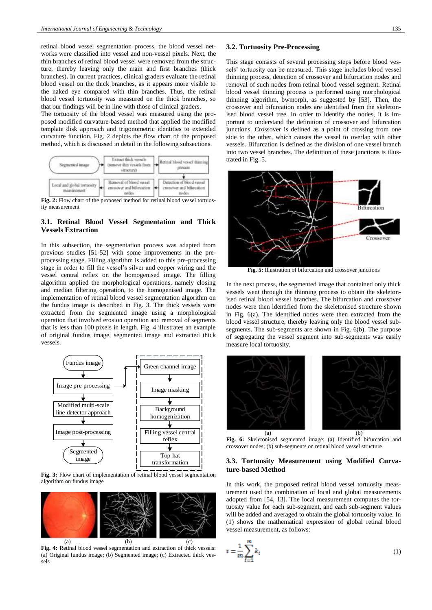retinal blood vessel segmentation process, the blood vessel networks were classified into vessel and non-vessel pixels. Next, the thin branches of retinal blood vessel were removed from the structure, thereby leaving only the main and first branches (thick branches). In current practices, clinical graders evaluate the retinal blood vessel on the thick branches, as it appears more visible to the naked eye compared with thin branches. Thus, the retinal blood vessel tortuosity was measured on the thick branches, so that our findings will be in line with those of clinical graders.

The tortuosity of the blood vessel was measured using the proposed modified curvature-based method that applied the modified template disk approach and trigonometric identities to extended curvature function. Fig. 2 depicts the flow chart of the proposed method, which is discussed in detail in the following subsections.



**Fig. 2:** Flow chart of the proposed method for retinal blood vessel tortuosity measurement

## **3.1. Retinal Blood Vessel Segmentation and Thick Vessels Extraction**

In this subsection, the segmentation process was adapted from previous studies [51-52] with some improvements in the preprocessing stage. Filling algorithm is added to this pre-processing stage in order to fill the vessel's silver and copper wiring and the vessel central reflex on the homogenised image. The filling algorithm applied the morphological operations, namely closing and median filtering operation, to the homogenised image. The implementation of retinal blood vessel segmentation algorithm on the fundus image is described in Fig. 3. The thick vessels were extracted from the segmented image using a morphological operation that involved erosion operation and removal of segments that is less than 100 pixels in length. Fig. 4 illustrates an example of original fundus image, segmented image and extracted thick vessels.



**Fig. 3:** Flow chart of implementation of retinal blood vessel segmentation algorithm on fundus image



**Fig. 4:** Retinal blood vessel segmentation and extraction of thick vessels: (a) Original fundus image; (b) Segmented image; (c) Extracted thick vessels

#### **3.2. Tortuosity Pre-Processing**

This stage consists of several processing steps before blood vessels' tortuosity can be measured. This stage includes blood vessel thinning process, detection of crossover and bifurcation nodes and removal of such nodes from retinal blood vessel segment. Retinal blood vessel thinning process is performed using morphological thinning algorithm, bwmorph, as suggested by [53]. Then, the crossover and bifurcation nodes are identified from the skeletonised blood vessel tree. In order to identify the nodes, it is important to understand the definition of crossover and bifurcation junctions. Crossover is defined as a point of crossing from one side to the other, which causes the vessel to overlap with other vessels. Bifurcation is defined as the division of one vessel branch into two vessel branches. The definition of these junctions is illustrated in Fig. 5.



**Fig. 5:** Illustration of bifurcation and crossover junctions

In the next process, the segmented image that contained only thick vessels went through the thinning process to obtain the skeletonised retinal blood vessel branches. The bifurcation and crossover nodes were then identified from the skeletonised structure shown in Fig. 6(a). The identified nodes were then extracted from the blood vessel structure, thereby leaving only the blood vessel subsegments. The sub-segments are shown in Fig. 6(b). The purpose of segregating the vessel segment into sub-segments was easily measure local tortuosity.



**Fig. 6:** Skeletonised segmented image: (a) Identified bifurcation and crossover nodes; (b) sub-segments on retinal blood vessel structure

#### **3.3. Tortuosity Measurement using Modified Curvature-based Method**

In this work, the proposed retinal blood vessel tortuosity measurement used the combination of local and global measurements adopted from [54, 13]. The local measurement computes the tortuosity value for each sub-segment, and each sub-segment values will be added and averaged to obtain the global tortuosity value. In (1) shows the mathematical expression of global retinal blood vessel measurement, as follows:

$$
=\frac{1}{m}\sum_{i=1}^{m}k_{i}
$$
 (1)

τ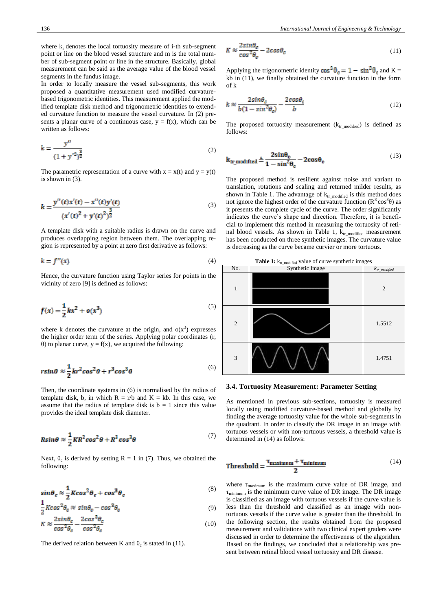where  $k_i$  denotes the local tortuosity measure of i-th sub-segment point or line on the blood vessel structure and m is the total number of sub-segment point or line in the structure. Basically, global measurement can be said as the average value of the blood vessel segments in the fundus image.

In order to locally measure the vessel sub-segments, this work proposed a quantitative measurement used modified curvaturebased trigonometric identities. This measurement applied the modified template disk method and trigonometric identities to extended curvature function to measure the vessel curvature. In (2) presents a planar curve of a continuous case,  $y = f(x)$ , which can be written as follows:

$$
k = \frac{y''}{(1+y'^2)^{\frac{3}{2}}} \tag{2}
$$

The parametric representation of a curve with  $x = x(t)$  and  $y = y(t)$ is shown in (3).

$$
k = \frac{y''(t)x'(t) - x''(t)y'(t)}{(x'(t)^2 + y'(t)^2)^{\frac{3}{2}}}
$$
\n(3)

A template disk with a suitable radius is drawn on the curve and produces overlapping region between them. The overlapping region is represented by a point at zero first derivative as follows:

$$
k = f''(x) \tag{4}
$$

Hence, the curvature function using Taylor series for points in the vicinity of zero [9] is defined as follows:

$$
f(x) = \frac{1}{2}kx^2 + o(x^3)
$$
 (5)

where k denotes the curvature at the origin, and  $o(x^3)$  expresses the higher order term of the series. Applying polar coordinates (r, θ) to planar curve, y = f(x), we acquired the following:

$$
rsin\theta \approx \frac{1}{2}kr^2\cos^2\theta + r^3\cos^3\theta \tag{6}
$$

Then, the coordinate systems in (6) is normalised by the radius of template disk, b, in which  $R = r/b$  and  $K = kb$ . In this case, we assume that the radius of template disk is  $b = 1$  since this value provides the ideal template disk diameter.

$$
R\sin\theta \approx \frac{1}{2}KR^2\cos^2\theta + R^3\cos^3\theta \tag{7}
$$

Next,  $\theta_c$  is derived by setting R = 1 in (7). Thus, we obtained the following:

$$
\sin\theta_c \approx \frac{1}{2} K \cos^2\theta_c + \cos^3\theta_c \tag{8}
$$

$$
\frac{1}{2}K\cos^2\theta_c \approx \sin\theta_c - \cos^3\theta_c \tag{9}
$$

$$
K \approx \frac{2\sin\theta_c}{\cos^2\theta_c} - \frac{2\cos^3\theta_c}{\cos^2\theta_c} \tag{10}
$$

The derived relation between K and  $\theta_c$  is stated in (11).

$$
K \approx \frac{2\sin\theta_c}{\cos^2\theta_c} - 2\cos\theta_c \tag{11}
$$

Applying the trigonometric identity  $\cos^2 \theta_c = 1 - \sin^2 \theta_c$  and K = kb in (11), we finally obtained the curvature function in the form of k

$$
k \approx \frac{2\sin\theta_c}{b(1-\sin^2\theta_c)} - \frac{2\cos\theta_c}{b}
$$
 (12)

The proposed tortuosity measurement ( $k_{tr\text{modified}}$ ) is defined as follows:

$$
k_{tr\_modified} \stackrel{\triangle}{=} \frac{2\sin\theta_c}{1 - \sin^2\theta_c} - 2\cos\theta_c \tag{13}
$$

The proposed method is resilient against noise and variant to translation, rotations and scaling and returned milder results, as shown in Table 1. The advantage of  $k_{tr_m}$  modified is this method does not ignore the highest order of the curvature function  $(R^3 \cos^3\theta)$  as it presents the complete cycle of the curve. The order significantly indicates the curve's shape and direction. Therefore, it is beneficial to implement this method in measuring the tortuosity of retinal blood vessels. As shown in Table 1,  $k_{tr\_modified}$  measurement has been conducted on three synthetic images. The curvature value is decreasing as the curve became curvier or more tortuous.



**3.4. Tortuosity Measurement: Parameter Setting**

As mentioned in previous sub-sections, tortuosity is measured locally using modified curvature-based method and globally by finding the average tortuosity value for the whole sub-segments in the quadrant. In order to classify the DR image in an image with tortuous vessels or with non-tortuous vessels, a threshold value is determined in (14) as follows:

$$
Threshold = \frac{\tau_{\text{maximum}} + \tau_{\text{minimum}}}{2} \tag{14}
$$

where  $\tau_{\text{maximum}}$  is the maximum curve value of DR image, and  $\tau_{\text{minimum}}$  is the minimum curve value of DR image. The DR image is classified as an image with tortuous vessels if the curve value is less than the threshold and classified as an image with nontortuous vessels if the curve value is greater than the threshold. In the following section, the results obtained from the proposed measurement and validations with two clinical expert graders were discussed in order to determine the effectiveness of the algorithm. Based on the findings, we concluded that a relationship was present between retinal blood vessel tortuosity and DR disease.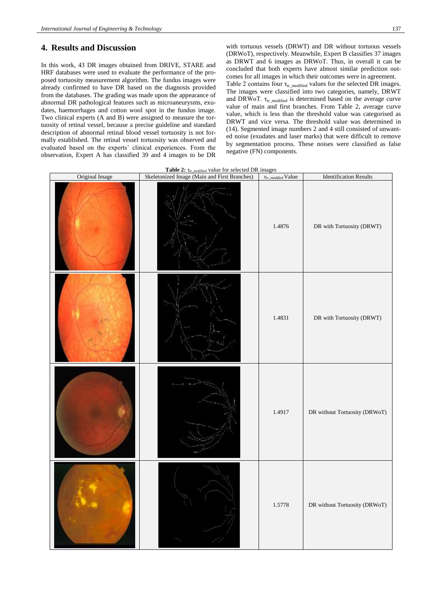## **4. Results and Discussion**

In this work, 43 DR images obtained from DRIVE, STARE and HRF databases were used to evaluate the performance of the proposed tortuosity measurement algorithm. The fundus images were already confirmed to have DR based on the diagnosis provided from the databases. The grading was made upon the appearance of abnormal DR pathological features such as microaneurysms, exudates, haemorrhages and cotton wool spot in the fundus image. Two clinical experts (A and B) were assigned to measure the tortuosity of retinal vessel, because a precise guideline and standard description of abnormal retinal blood vessel tortuosity is not formally established. The retinal vessel tortuosity was observed and evaluated based on the experts' clinical experiences. From the observation, Expert A has classified 39 and 4 images to be DR with tortuous vessels (DRWT) and DR without tortuous vessels (DRWoT), respectively. Meanwhile, Expert B classifies 37 images as DRWT and 6 images as DRWoT. Thus, in overall it can be concluded that both experts have almost similar prediction outcomes for all images in which their outcomes were in agreement. Table 2 contains four  $\tau_{tr\_modified}$  values for the selected DR images. The images were classified into two categories, namely, DRWT and DRWoT.  $\tau_{tr\_modified}$  is determined based on the average curve value of main and first branches. From Table 2, average curve value, which is less than the threshold value was categorised as DRWT and vice versa. The threshold value was determined in (14). Segmented image numbers 2 and 4 still consisted of unwanted noise (exudates and laser marks) that were difficult to remove by segmentation process. These noises were classified as false negative (FN) components.

| Original Image | <b>Table 2:</b> $\tau_{tr\_modified}$ value for selected DR images<br>Skeletonized Image (Main and First Branches) $\tau_{tr\_model}$ | $\tau_{tr\_modified}$ Value | <b>Identification Results</b> |
|----------------|---------------------------------------------------------------------------------------------------------------------------------------|-----------------------------|-------------------------------|
|                |                                                                                                                                       | 1.4876                      | DR with Tortuosity (DRWT)     |
|                |                                                                                                                                       | 1.4831                      | DR with Tortuosity (DRWT)     |
|                |                                                                                                                                       | 1.4917                      | DR without Tortuosity (DRWoT) |
|                |                                                                                                                                       | 1.5778                      | DR without Tortuosity (DRWoT) |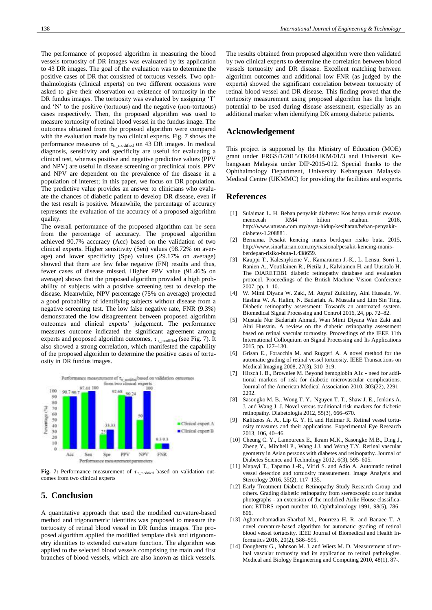The performance of proposed algorithm in measuring the blood vessels tortuosity of DR images was evaluated by its application to 43 DR images. The goal of the evaluation was to determine the positive cases of DR that consisted of tortuous vessels. Two ophthalmologists (clinical experts) on two different occasions were asked to give their observation on existence of tortuosity in the DR fundus images. The tortuosity was evaluated by assigning 'T' and 'N' to the positive (tortuous) and the negative (non-tortuous) cases respectively. Then, the proposed algorithm was used to measure tortuosity of retinal blood vessel in the fundus image. The outcomes obtained from the proposed algorithm were compared with the evaluation made by two clinical experts. Fig. 7 shows the performance measures of  $\tau_{tr\_modified}$  on 43 DR images. In medical diagnosis, sensitivity and specificity are useful for evaluating a clinical test, whereas positive and negative predictive values (PPV and NPV) are useful in disease screening or preclinical tools. PPV and NPV are dependent on the prevalence of the disease in a population of interest; in this paper, we focus on DR population. The predictive value provides an answer to clinicians who evaluate the chances of diabetic patient to develop DR disease, even if the test result is positive. Meanwhile, the percentage of accuracy represents the evaluation of the accuracy of a proposed algorithm quality.

The overall performance of the proposed algorithm can be seen from the percentage of accuracy. The proposed algorithm achieved 90.7% accuracy (Acc) based on the validation of two clinical experts. Higher sensitivity (Sen) values (98.72% on average) and lower specificity (Spe) values (29.17% on average) showed that there are few false negative (FN) results and thus, fewer cases of disease missed. Higher PPV value (91.46% on average) shows that the proposed algorithm provided a high probability of subjects with a positive screening test to develop the disease. Meanwhile, NPV percentage (75% on average) projected a good probability of identifying subjects without disease from a negative screening test. The low false negative rate, FNR (9.3%) demonstrated the low disagreement between proposed algorithm outcomes and clinical experts' judgement. The performance measures outcome indicated the significant agreement among experts and proposed algorithm outcomes,  $\tau_{tr_m}$  modified (see Fig. 7). It also showed a strong correlation, which manifested the capability of the proposed algorithm to determine the positive cases of tortuosity in DR fundus images.



Fig. 7: Performance measurement of  $\tau_{tr\_modified}$  based on validation outcomes from two clinical experts

## **5. Conclusion**

A quantitative approach that used the modified curvature-based method and trigonometric identities was proposed to measure the tortuosity of retinal blood vessel in DR fundus images. The proposed algorithm applied the modified template disk and trigonometry identities to extended curvature function. The algorithm was applied to the selected blood vessels comprising the main and first branches of blood vessels, which are also known as thick vessels.

The results obtained from proposed algorithm were then validated by two clinical experts to determine the correlation between blood vessels tortuosity and DR disease. Excellent matching between algorithm outcomes and additional low FNR (as judged by the experts) showed the significant correlation between tortuosity of retinal blood vessel and DR disease. This finding proved that the tortuosity measurement using proposed algorithm has the bright potential to be used during disease assessment, especially as an additional marker when identifying DR among diabetic patients.

#### **Acknowledgement**

This project is supported by the Ministry of Education (MOE) grant under FRGS/1/2015/TK04/UKM/01/3 and Universiti Kebangsaan Malaysia under DIP-2015-012. Special thanks to the Ophthalmology Department, University Kebangsaan Malaysia Medical Centre (UKMMC) for providing the facilities and experts.

#### **References**

- [1] Sulaiman L. H. Beban penyakit diabetes: Kos hanya untuk rawatan mencecah [http://www.utusan.com.my/gaya-hidup/kesihatan/beban-penyakit](http://www.utusan.com.my/gaya-hidup/kesihatan/beban-penyakit-diabetes-1.208881)[diabetes-1.208881.](http://www.utusan.com.my/gaya-hidup/kesihatan/beban-penyakit-diabetes-1.208881)
- [2] Bernama. Pesakit kencing manis berdepan risiko buta. 2015, http://www.sinarharian.com.my/nasional/pesakit-kencing-manisberdepan-risiko-buta-1.438659.
- [3] Kauppi T., Kalesnykiene V., Kamarainen J.-K., L. Lensu, Sorri I., Ranien A., Voutilainen R., Pietila J., Kalviainen H. and Uusitalo H. The DIARETDB1 diabetic retinopathy database and evaluation protocol. Proceedings of the British Machine Vision Conference 2007, pp. 1–10.
- [4] W. Mimi Diyana W. Zaki, M. Asyraf Zulkifley, Aini Hussain, W. Haslina W. A. Halim, N. Badariah. A. Mustafa and Lim Sin Ting. Diabetic retinopathy assessment: Towards an automated system. Biomedical Signal Processing and Control 2016, 24, pp. 72–82.
- [5] Mustafa Nur Badariah Ahmad, Wan Mimi Diyana Wan Zaki and Aini Hussain. A review on the diabetic retinopathy assessment based on retinal vascular tortuosity. Proceedings of the IEEE 11th International Colloquium on Signal Processing and Its Applications 2015, pp. 127–130.
- [6] Grisan E., Foracchia M. and Ruggeri A. A novel method for the automatic grading of retinal vessel tortuosity. IEEE Transactions on Medical Imaging 2008, 27(3), 310–319.
- Hirsch I. B., Brownlee M. Beyond hemoglobin A1c need for additional markers of risk for diabetic microvascular complications. Journal of the American Medical Association 2010, 303(22), 2291– 2292.
- [8] Sasongko M. B., Wong T. Y., Nguyen T. T., Shaw J. E., Jenkins A. J. and Wang J. J. Novel versus traditional risk markers for diabetic retinopathy. Diabetologia 2012, 55(3), 666–670.
- [9] Kalitzeos A. A., Lip G. Y. H. and Heitmar R. Retinal vessel tortuosity measures and their applications. Experimental Eye Research 2013, 106, 40–46.
- [10] Cheung C. Y., Lamoureux E., Ikram M.K., Sasongko M.B., Ding J., Zheng Y., Mitchell P., Wang J.J. and Wong T.Y. Retinal vascular geometry in Asian persons with diabetes and retinopathy. Journal of Diabetes Science and Technology 2012, 6(3), 595–605.
- [11] Mapayi T., Tapamo J.-R., Viriri S. and Adio A. Automatic retinal vessel detection and tortuosity measurement. Image Analysis and Stereology 2016, 35(2), 117–135.
- [12] Early Treatment Diabetic Retinopathy Study Research Group and others. Grading diabetic retinopathy from stereoscopic color fundus photographs - an extension of the modified Airlie House classification: ETDRS report number 10. Ophthalmology 1991, 98(5), 786– 806.
- [13] Aghamohamadian-Sharbaf M., Pourreza H. R. and Banaee T. A novel curvature-based algorithm for automatic grading of retinal blood vessel tortuosity. IEEE Journal of Biomedical and Health Informatics 2016, 20(2), 586–595.
- [14] Dougherty G., Johnson M. J. and Wiers M. D. Measurement of retinal vascular tortuosity and its application to retinal pathologies. Medical and Biology Engineering and Computing 2010, 48(1), 87-.